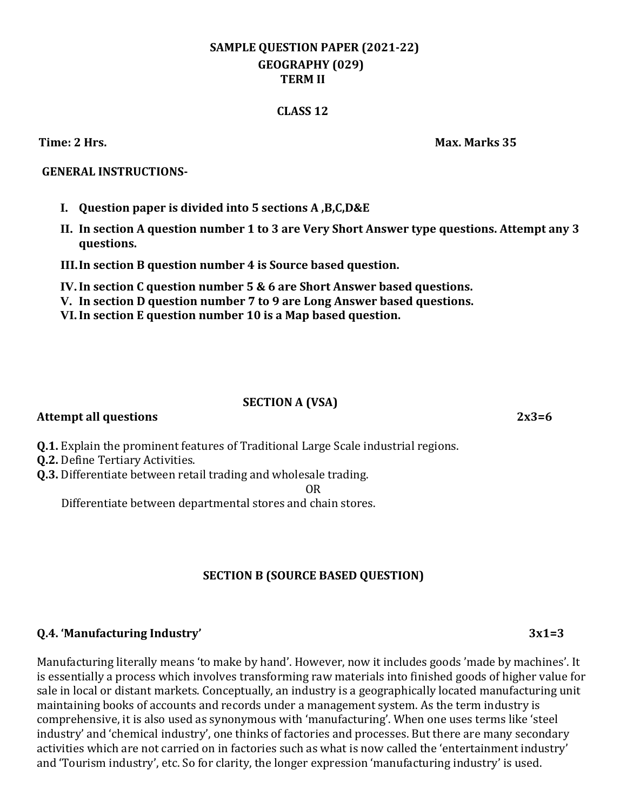# **SAMPLE QUESTION PAPER (2021-22) GEOGRAPHY (029) TERM II**

### **CLASS 12**

### **GENERAL INSTRUCTIONS-**

- **I. Question paper is divided into 5 sections A ,B,C,D&E**
- **II. In section A question number 1 to 3 are Very Short Answer type questions. Attempt any 3 questions.**
- **III.In section B question number 4 is Source based question.**
- **IV.In section C question number 5 & 6 are Short Answer based questions.**
- **V. In section D question number 7 to 9 are Long Answer based questions.**
- **VI.In section E question number 10 is a Map based question.**

#### **SECTION A (VSA)**

### **Attempt all questions 2x3=6**

- **Q.1.** Explain the prominent features of Traditional Large Scale industrial regions.
- **Q.2.** Define Tertiary Activities.
- **Q.3.** Differentiate between retail trading and wholesale trading.

OR

Differentiate between departmental stores and chain stores.

# **SECTION B (SOURCE BASED QUESTION)**

#### **Q.4. 'Manufacturing Industry' 3x1=3**

Manufacturing literally means 'to make by hand'. However, now it includes goods 'made by machines'. It is essentially a process which involves transforming raw materials into finished goods of higher value for sale in local or distant markets. Conceptually, an industry is a geographically located manufacturing unit maintaining books of accounts and records under a management system. As the term industry is comprehensive, it is also used as synonymous with 'manufacturing'. When one uses terms like 'steel industry' and 'chemical industry', one thinks of factories and processes. But there are many secondary activities which are not carried on in factories such as what is now called the 'entertainment industry' and 'Tourism industry', etc. So for clarity, the longer expression 'manufacturing industry' is used.

**Time: 2 Hrs. Max. Marks 35**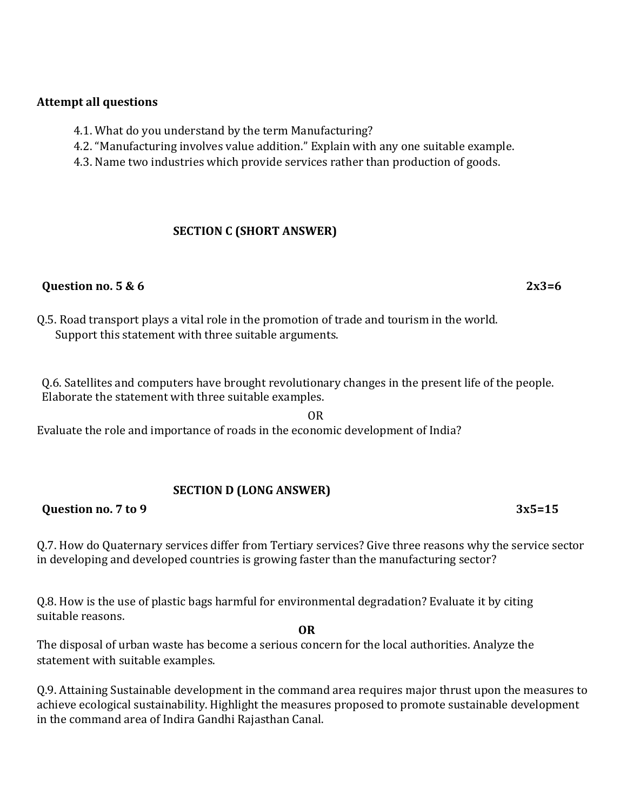### **Attempt all questions**

- 4.1. What do you understand by the term Manufacturing?
- 4.2. "Manufacturing involves value addition." Explain with any one suitable example.
- 4.3. Name two industries which provide services rather than production of goods.

# **SECTION C (SHORT ANSWER)**

## **Question no. 5 & 6** 2x3=6

Q.5. Road transport plays a vital role in the promotion of trade and tourism in the world. Support this statement with three suitable arguments.

Q.6. Satellites and computers have brought revolutionary changes in the present life of the people. Elaborate the statement with three suitable examples.

OR Evaluate the role and importance of roads in the economic development of India?

# **SECTION D (LONG ANSWER)**

# **Question no. 7 to 9 3x5=15**

Q.7. How do Quaternary services differ from Tertiary services? Give three reasons why the service sector in developing and developed countries is growing faster than the manufacturing sector?

**OR**

Q.8. How is the use of plastic bags harmful for environmental degradation? Evaluate it by citing suitable reasons.

The disposal of urban waste has become a serious concern for the local authorities. Analyze the statement with suitable examples.

Q.9. Attaining Sustainable development in the command area requires major thrust upon the measures to achieve ecological sustainability. Highlight the measures proposed to promote sustainable development in the command area of Indira Gandhi Rajasthan Canal.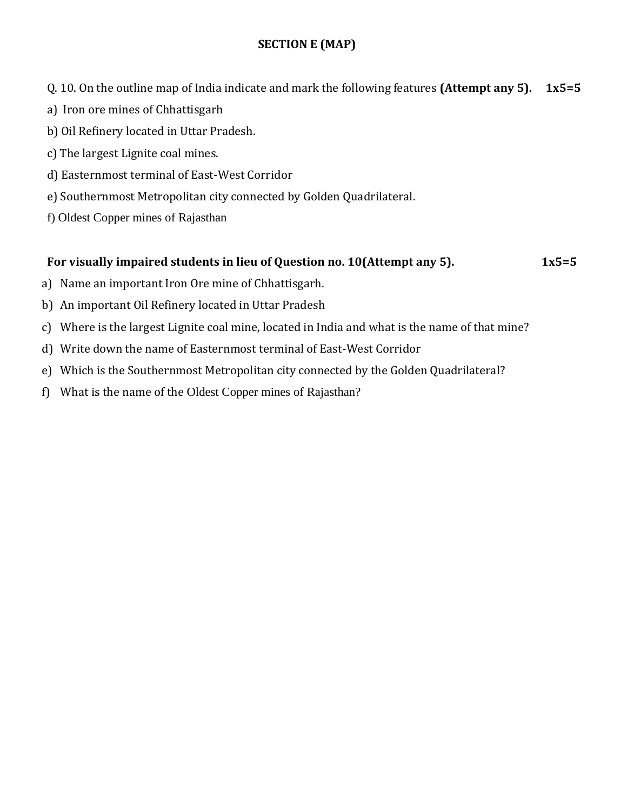# **SECTION E (MAP)**

Q. 10. On the outline map of India indicate and mark the following features **(Attempt any 5). 1x5=5**

- a) Iron ore mines of Chhattisgarh
- b) Oil Refinery located in Uttar Pradesh.
- c) The largest Lignite coal mines.
- d) Easternmost terminal of East-West Corridor
- e) Southernmost Metropolitan city connected by Golden Quadrilateral.
- f) Oldest Copper mines of Rajasthan

# **For visually impaired students in lieu of Question no. 10(Attempt any 5). 1x5=5**

- a) Name an important Iron Ore mine of Chhattisgarh.
- b) An important Oil Refinery located in Uttar Pradesh
- c) Where is the largest Lignite coal mine, located in India and what is the name of that mine?
- d) Write down the name of Easternmost terminal of East-West Corridor
- e) Which is the Southernmost Metropolitan city connected by the Golden Quadrilateral?
- f) What is the name of the Oldest Copper mines of Rajasthan?